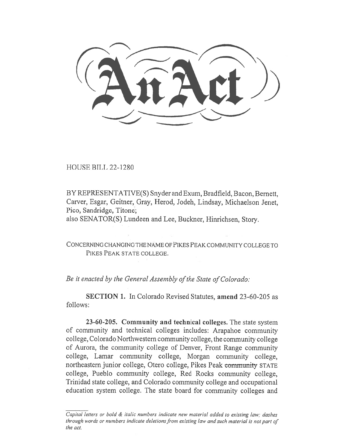HOUSE BILL 22-1280

BY REPRESENTATIVE(S) Snyder and Exum, Bradfield, Bacon, Bernett, Carver, Esgar, Geitner, Gray, Herod, Jodeh, Lindsay, Michaelson Jenet, Pico, Sandridge, Titone;

also SENATOR(S) Lundeen and Lee, Buckner, Hinrichsen, Story.

CONCERNING CHANGING THE NAME OF PIKES PEAK COMMUNITY COLLEGE TO PIKES PEAK STATE COLLEGE.

Be it enacted by the General Assembly of the State of Colorado:

SECTION 1. In Colorado Revised Statutes, amend 23-60-205 as follows:

23-60-205. Community and technical colleges. The state system of community and technical colleges includes: Arapahoe community college, Colorado Northwestern community college, the community college of Aurora, the community college of Denver, Front Range community college, Lamar community college, Morgan community college, northeastern junior college, Otero college, Pikes Peak community STATE college, Pueblo community college, Red Rocks community college, Trinidad state college, and Colorado community college and occupational education system college. The state board for community colleges and

Capital letters or bold & italic numbers indicate new material added to existing law; dashes through words or numbers indicate deletions from existing law and such material is not part of the act.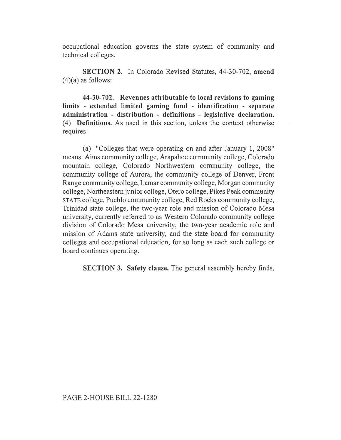occupational education governs the state system of community and technical colleges.

SECTION 2. In Colorado Revised Statutes, 44-30-702, amend  $(4)(a)$  as follows:

44-30-702. Revenues attributable to local revisions to gaming limits - extended limited gaming fund - identification - separate administration - distribution - definitions - legislative declaration. (4) Definitions. As used in this section, unless the context otherwise requires:

(a) "Colleges that were operating on and after January 1, 2008" means: Aims community college, Arapahoe community college, Colorado mountain college, Colorado Northwestern community college, the community college of Aurora, the community college of Denver, Front Range community college, Lamar community college, Morgan community college, Northeastern junior college, Otero college, Pikes Peak community STATE college, Pueblo community college, Red Rocks community college, Trinidad state college, the two-year role and mission of Colorado Mesa university, currently referred to as Western Colorado community college division of Colorado Mesa university, the two-year academic role and mission of Adams state university, and the state board for community colleges and occupational education, for so long as each such college or board continues operating.

SECTION 3. Safety clause. The general assembly hereby finds,